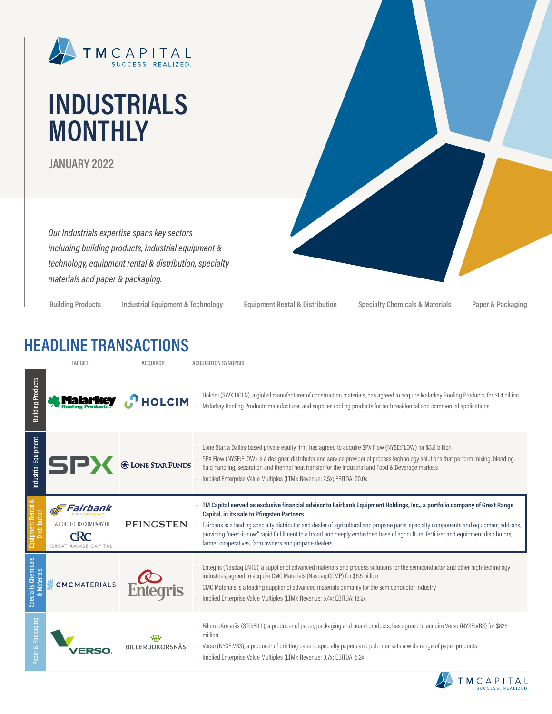

# **INDUSTRIALS MONTHLY**

**JANUARY 2022**

*Our Industrials expertise spans key sectors including building products, industrial equipment & technology, equipment rental & distribution, specialty materials and paper & packaging.*

**Building Products Industrial Equipment & Technology Equipment Rental & Distribution Specialty Chemicals & Materials Paper & Packaging**

### **HEADLINE TRANSACTIONS**

|                                           | TARGET                                                                         | <b>ACQUIROR</b>          | <b>ACQUISITION SYNOPSIS</b>                                                                                                                                                                                                                                                                                                                                                                                                                                                                                          |
|-------------------------------------------|--------------------------------------------------------------------------------|--------------------------|----------------------------------------------------------------------------------------------------------------------------------------------------------------------------------------------------------------------------------------------------------------------------------------------------------------------------------------------------------------------------------------------------------------------------------------------------------------------------------------------------------------------|
| <b>Building Products</b>                  |                                                                                | $\mathbf{P}$ HOLCIM      | - Holcim (SWX:HOLN), a global manufacturer of construction materials, has agreed to acquire Malarkey Roofing Products, for \$1.4 billion<br>- Malarkey Roofing Products manufactures and supplies roofing products for both residential and commercial applications                                                                                                                                                                                                                                                  |
| Industrial Equipment                      | SP                                                                             | <b>O LONE STAR FUNDS</b> | - Lone Star, a Dallas-based private equity firm, has agreed to acquire SPX Flow (NYSE:FLOW) for \$3.8 billion<br>- SPX Flow (NYSE:FLOW) is a designer, distributor and service provider of process technology solutions that perform mixing, blending,<br>fluid handling, separation and thermal heat transfer for the Industrial and Food & Beverage markets<br>- Implied Enterprise Value Multiples (LTM): Revenue: 2.5x; EBITDA: 20.0x                                                                            |
| Equipment Rental &<br><b>Distribution</b> | Fairbank<br>A PORTEOLIO COMPANY OF<br><b>CRC</b><br><b>GREAT RANGE CAPITAL</b> | PFINGSTEN                | - TM Capital served as exclusive financial advisor to Fairbank Equipment Holdings, Inc., a portfolio company of Great Range<br>Capital, in its sale to Pfingsten Partners<br>- Fairbank is a leading specialty distributor and dealer of agricultural and propane parts, specialty components and equipment add-ons,<br>providing "need-it-now" rapid fulfillment to a broad and deeply embedded base of agricultural fertilizer and equipment distributors,<br>farmer cooperatives, farm owners and propane dealers |
| Specialty Chemicals<br>& Materials        | <b>CMCMATERIALS</b>                                                            |                          | - Entegris (Nasdag:ENTG), a supplier of advanced materials and process solutions for the semiconductor and other high-technology<br>industries, agreed to acquire CMC Materials (Nasdaq:CCMP) for \$6.5 billion<br>- CMC Materials is a leading supplier of advanced materials primarily for the semiconductor industry<br>- Implied Enterprise Value Multiples (LTM): Revenue: 5.4x; EBITDA: 18.2x                                                                                                                  |
| aper & Packaging                          |                                                                                | <b>BILLERUDKORSNÄS</b>   | - BillerudKorsnäs (STO:BILL), a producer of paper, packaging and board products, has agreed to acquire Verso (NYSE:VRS) for \$825<br>million<br>- Verso (NYSE:VRS), a producer of printing papers, specialty papers and pulp, markets a wide range of paper products<br>- Implied Enterprise Value Multiples (LTM): Revenue: 0.7x; EBITDA: 5.2x                                                                                                                                                                      |

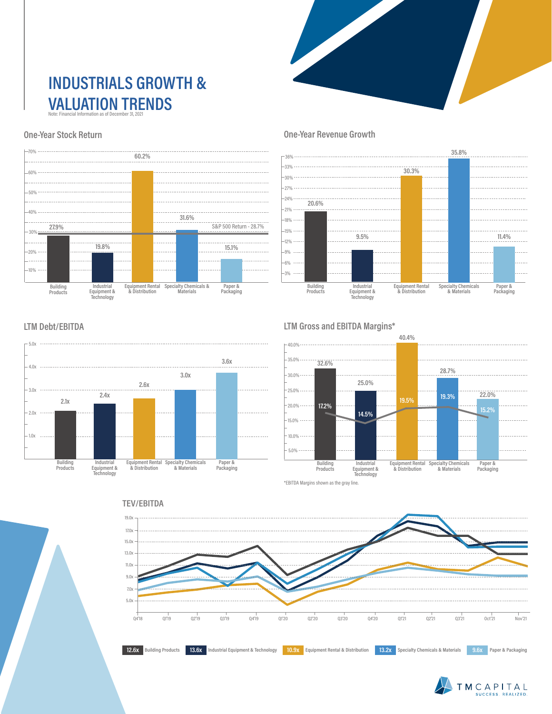### **INDUSTRIALS GROWTH & VALUATION TRENDS** Note: Financial Information as of December 31, 2021

#### **One-Year Stock Return**



#### **One-Year Revenue Growth**



#### **LTM Debt/EBITDA**



#### **LTM Gross and EBITDA Margins\***



\*EBITDA Margins shown as the gray line.